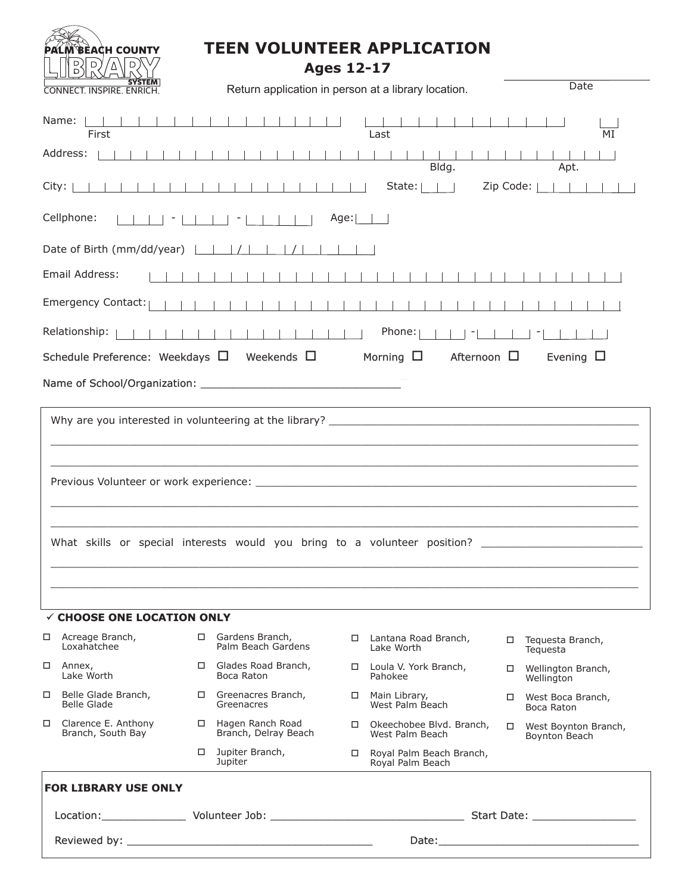

## **TEEN VOLUNTEER APPLICATION**

**Ages 12-17**

| <b>SYSIEM</b><br><b>CONNECT. INSPIRE. ENRICH.</b>                                                            |  | Return application in person at a library location. |      |                                               |           | Date                                  |  |
|--------------------------------------------------------------------------------------------------------------|--|-----------------------------------------------------|------|-----------------------------------------------|-----------|---------------------------------------|--|
| Name:  <br>First<br>Address:                                                                                 |  |                                                     |      | Last                                          |           | MI                                    |  |
| City: $ $                                                                                                    |  |                                                     |      | Bldg.<br>State: $   $                         | Zip Code: | Apt.<br>$\sim$ 1 $\sim$ 1             |  |
| Cellphone:                                                                                                   |  |                                                     | Age: |                                               |           |                                       |  |
| Date of Birth (mm/dd/year)                                                                                   |  |                                                     |      |                                               |           |                                       |  |
| Email Address:                                                                                               |  |                                                     |      |                                               |           |                                       |  |
| Emergency Contact:                                                                                           |  |                                                     |      |                                               |           |                                       |  |
| Relationship:                                                                                                |  |                                                     |      | Phone:                                        |           |                                       |  |
| Schedule Preference: Weekdays $\Box$ Weekends $\Box$<br>Morning $\Box$<br>Afternoon $\Box$<br>Evening $\Box$ |  |                                                     |      |                                               |           |                                       |  |
|                                                                                                              |  |                                                     |      |                                               |           |                                       |  |
| What skills or special interests would you bring to a volunteer position?                                    |  |                                                     |      |                                               |           |                                       |  |
| $\checkmark$ CHOOSE ONE LOCATION ONLY                                                                        |  |                                                     |      |                                               |           |                                       |  |
| $\Box$ Acreage Branch,<br>Loxabatchee                                                                        |  | □ Gardens Branch,<br>Palm Beach Gardens             |      | □ Lantana Road Branch,<br>Lake Worth          |           | □ Tequesta Branch,<br>Teguesta        |  |
| □<br>Annex,<br>Lake Worth                                                                                    |  | $\Box$ Glades Road Branch,<br>Boca Raton            |      | □ Loula V. York Branch,<br>Pahokee            |           | □ Wellington Branch,<br>Wellington    |  |
| Belle Glade Branch,<br>□<br><b>Belle Glade</b>                                                               |  | □ Greenacres Branch,<br>Greenacres                  |      | □ Main Library,<br>West Palm Beach            |           | □ West Boca Branch,<br>Boca Raton     |  |
| $\Box$<br>Clarence E. Anthony<br>Branch, South Bay                                                           |  | □ Hagen Ranch Road<br>Branch, Delray Beach          |      | □ Okeechobee Blvd. Branch,<br>West Palm Beach | $\Box$    | West Boynton Branch,<br>Boynton Beach |  |
|                                                                                                              |  | $\Box$ Jupiter Branch,<br>Jupiter                   |      | Royal Palm Beach Branch,<br>Royal Palm Beach  |           |                                       |  |
| <b>FOR LIBRARY USE ONLY</b>                                                                                  |  |                                                     |      |                                               |           |                                       |  |
| Location: Volunteer Job: 2000 Married Volunteer Job: 2000 Married Volunteer Job: 2000 Married Volunteer Jobs |  |                                                     |      |                                               |           |                                       |  |
|                                                                                                              |  |                                                     |      |                                               |           |                                       |  |